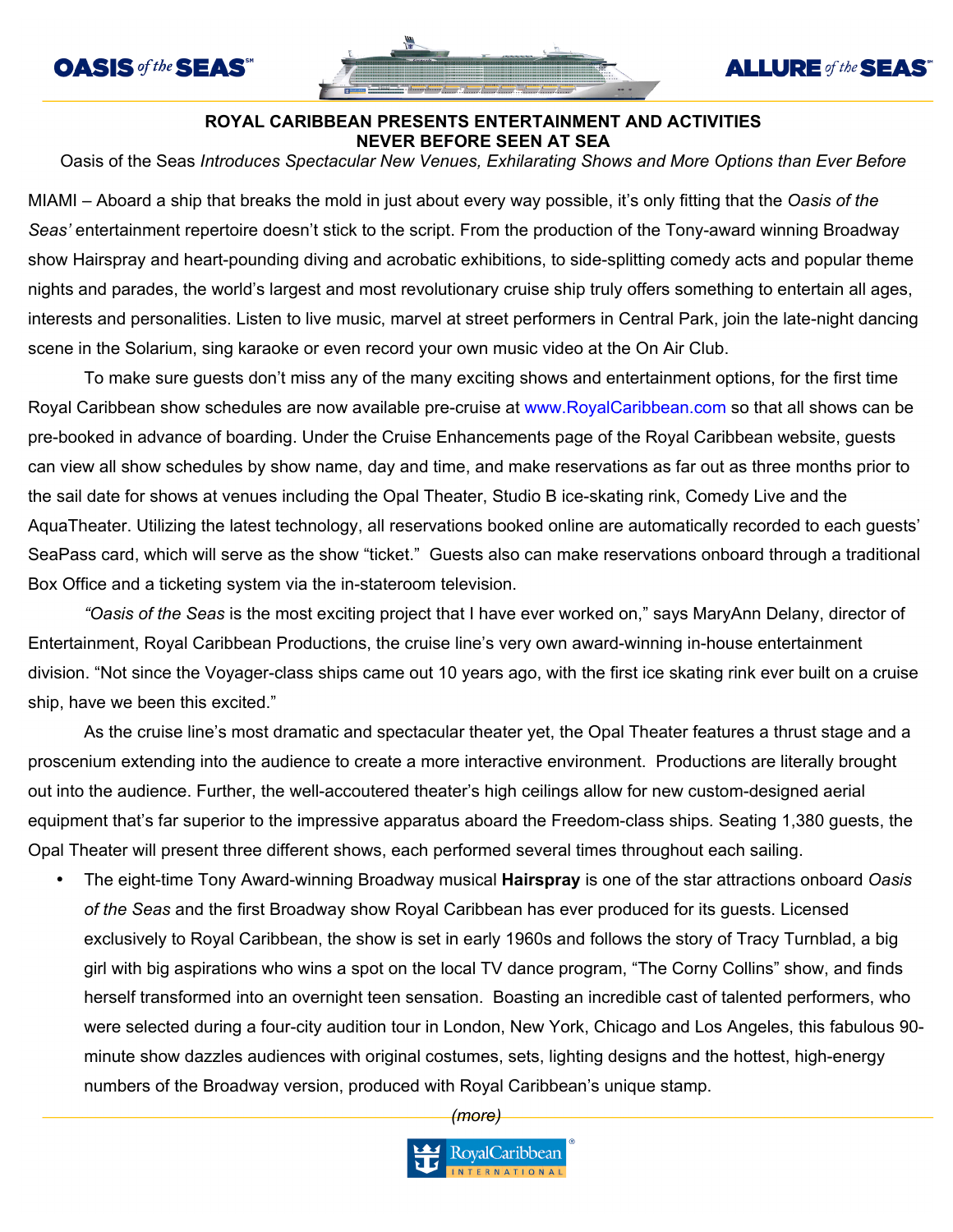



## **ALLURE** of the **SEAS**

## **ROYAL CARIBBEAN PRESENTS ENTERTAINMENT AND ACTIVITIES NEVER BEFORE SEEN AT SEA**

Oasis of the Seas *Introduces Spectacular New Venues, Exhilarating Shows and More Options than Ever Before* 

MIAMI – Aboard a ship that breaks the mold in just about every way possible, it's only fitting that the *Oasis of the Seas'* entertainment repertoire doesn't stick to the script. From the production of the Tony-award winning Broadway show Hairspray and heart-pounding diving and acrobatic exhibitions, to side-splitting comedy acts and popular theme nights and parades, the world's largest and most revolutionary cruise ship truly offers something to entertain all ages, interests and personalities. Listen to live music, marvel at street performers in Central Park, join the late-night dancing scene in the Solarium, sing karaoke or even record your own music video at the On Air Club.

To make sure guests don't miss any of the many exciting shows and entertainment options, for the first time Royal Caribbean show schedules are now available pre-cruise at www.RoyalCaribbean.com so that all shows can be pre-booked in advance of boarding. Under the Cruise Enhancements page of the Royal Caribbean website, guests can view all show schedules by show name, day and time, and make reservations as far out as three months prior to the sail date for shows at venues including the Opal Theater, Studio B ice-skating rink, Comedy Live and the AquaTheater. Utilizing the latest technology, all reservations booked online are automatically recorded to each guests' SeaPass card, which will serve as the show "ticket." Guests also can make reservations onboard through a traditional Box Office and a ticketing system via the in-stateroom television.

*"Oasis of the Seas* is the most exciting project that I have ever worked on," says MaryAnn Delany, director of Entertainment, Royal Caribbean Productions, the cruise line's very own award-winning in-house entertainment division. "Not since the Voyager-class ships came out 10 years ago, with the first ice skating rink ever built on a cruise ship, have we been this excited."

As the cruise line's most dramatic and spectacular theater yet, the Opal Theater features a thrust stage and a proscenium extending into the audience to create a more interactive environment. Productions are literally brought out into the audience. Further, the well-accoutered theater's high ceilings allow for new custom-designed aerial equipment that's far superior to the impressive apparatus aboard the Freedom-class ships*.* Seating 1,380 guests, the Opal Theater will present three different shows, each performed several times throughout each sailing.

• The eight-time Tony Award-winning Broadway musical **Hairspray** is one of the star attractions onboard *Oasis of the Seas* and the first Broadway show Royal Caribbean has ever produced for its guests. Licensed exclusively to Royal Caribbean, the show is set in early 1960s and follows the story of Tracy Turnblad, a big girl with big aspirations who wins a spot on the local TV dance program, "The Corny Collins" show, and finds herself transformed into an overnight teen sensation. Boasting an incredible cast of talented performers, who were selected during a four-city audition tour in London, New York, Chicago and Los Angeles, this fabulous 90 minute show dazzles audiences with original costumes, sets, lighting designs and the hottest, high-energy numbers of the Broadway version, produced with Royal Caribbean's unique stamp.

*(more)*

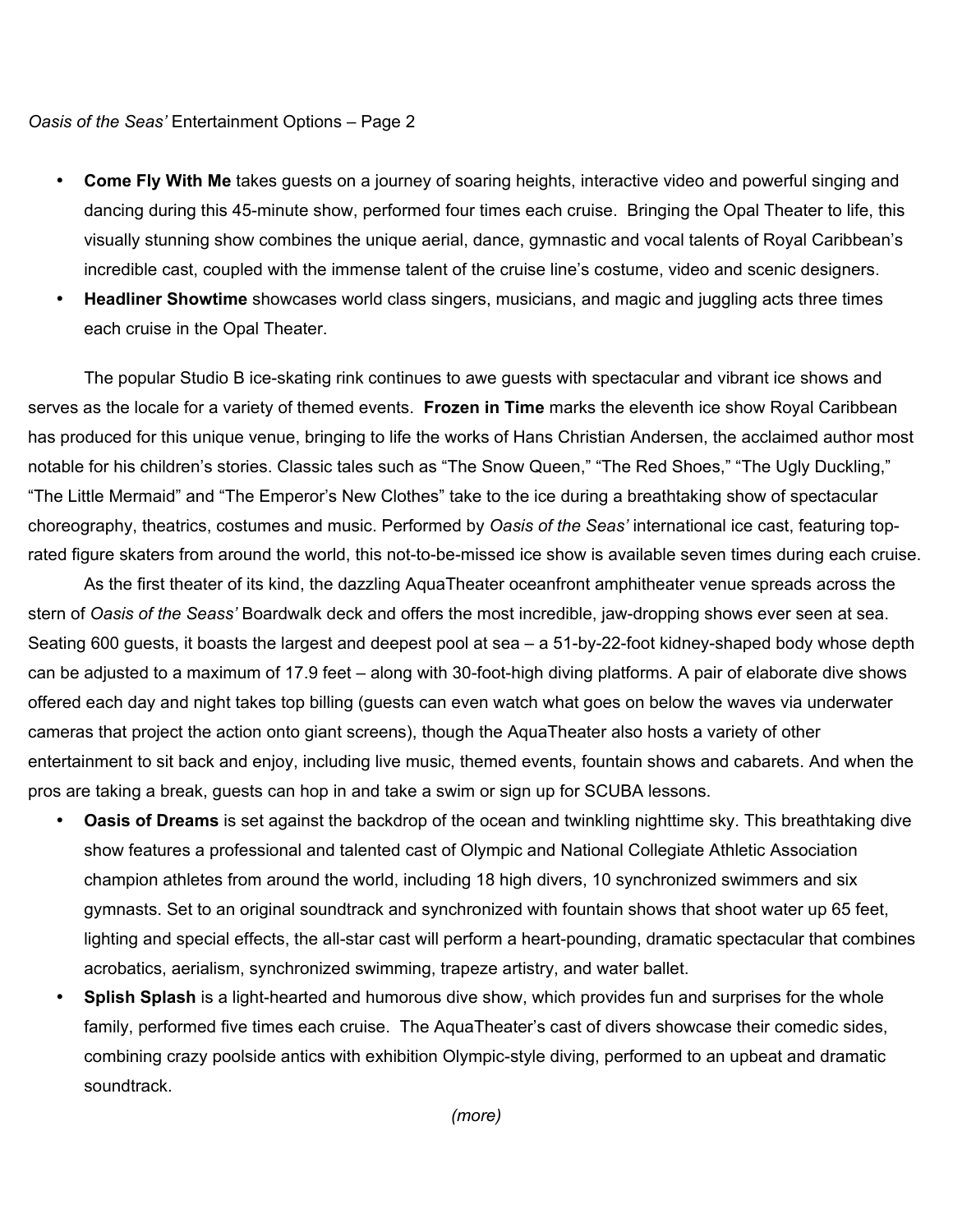## *Oasis of the Seas'* Entertainment Options – Page 2

- **Come Fly With Me** takes guests on a journey of soaring heights, interactive video and powerful singing and dancing during this 45-minute show, performed four times each cruise. Bringing the Opal Theater to life, this visually stunning show combines the unique aerial, dance, gymnastic and vocal talents of Royal Caribbean's incredible cast, coupled with the immense talent of the cruise line's costume, video and scenic designers.
- **Headliner Showtime** showcases world class singers, musicians, and magic and juggling acts three times each cruise in the Opal Theater.

The popular Studio B ice-skating rink continues to awe guests with spectacular and vibrant ice shows and serves as the locale for a variety of themed events. **Frozen in Time** marks the eleventh ice show Royal Caribbean has produced for this unique venue, bringing to life the works of Hans Christian Andersen, the acclaimed author most notable for his children's stories. Classic tales such as "The Snow Queen," "The Red Shoes," "The Ugly Duckling," "The Little Mermaid" and "The Emperor's New Clothes" take to the ice during a breathtaking show of spectacular choreography, theatrics, costumes and music. Performed by *Oasis of the Seas'* international ice cast, featuring toprated figure skaters from around the world, this not-to-be-missed ice show is available seven times during each cruise.

As the first theater of its kind, the dazzling AquaTheater oceanfront amphitheater venue spreads across the stern of *Oasis of the Seass'* Boardwalk deck and offers the most incredible, jaw-dropping shows ever seen at sea. Seating 600 guests, it boasts the largest and deepest pool at sea – a 51-by-22-foot kidney-shaped body whose depth can be adjusted to a maximum of 17.9 feet – along with 30-foot-high diving platforms. A pair of elaborate dive shows offered each day and night takes top billing (guests can even watch what goes on below the waves via underwater cameras that project the action onto giant screens), though the AquaTheater also hosts a variety of other entertainment to sit back and enjoy, including live music, themed events, fountain shows and cabarets. And when the pros are taking a break, guests can hop in and take a swim or sign up for SCUBA lessons.

- **Oasis of Dreams** is set against the backdrop of the ocean and twinkling nighttime sky. This breathtaking dive show features a professional and talented cast of Olympic and National Collegiate Athletic Association champion athletes from around the world, including 18 high divers, 10 synchronized swimmers and six gymnasts. Set to an original soundtrack and synchronized with fountain shows that shoot water up 65 feet, lighting and special effects, the all-star cast will perform a heart-pounding, dramatic spectacular that combines acrobatics, aerialism, synchronized swimming, trapeze artistry, and water ballet.
- **Splish Splash** is a light-hearted and humorous dive show, which provides fun and surprises for the whole family, performed five times each cruise. The AquaTheater's cast of divers showcase their comedic sides, combining crazy poolside antics with exhibition Olympic-style diving, performed to an upbeat and dramatic soundtrack.